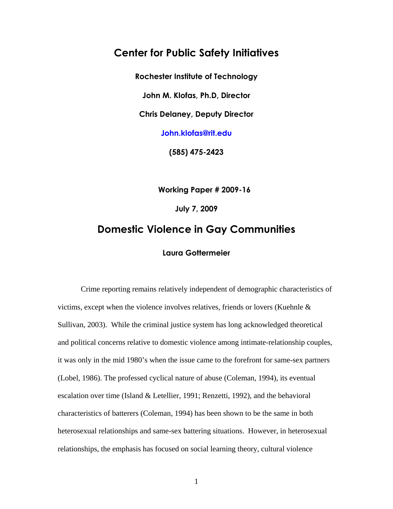## **Center for Public Safety Initiatives**

**Rochester Institute of Technology** 

**John M. Klofas, Ph.D, Director** 

**Chris Delaney, Deputy Director** 

**John.klofas@rit.edu** 

**(585) 475-2423** 

**Working Paper # 2009-16**

**July 7, 2009** 

# **Domestic Violence in Gay Communities**

### **Laura Gottermeier**

Crime reporting remains relatively independent of demographic characteristics of victims, except when the violence involves relatives, friends or lovers (Kuehnle & Sullivan, 2003). While the criminal justice system has long acknowledged theoretical and political concerns relative to domestic violence among intimate-relationship couples, it was only in the mid 1980's when the issue came to the forefront for same-sex partners (Lobel, 1986). The professed cyclical nature of abuse (Coleman, 1994), its eventual escalation over time (Island & Letellier, 1991; Renzetti, 1992), and the behavioral characteristics of batterers (Coleman, 1994) has been shown to be the same in both heterosexual relationships and same-sex battering situations. However, in heterosexual relationships, the emphasis has focused on social learning theory, cultural violence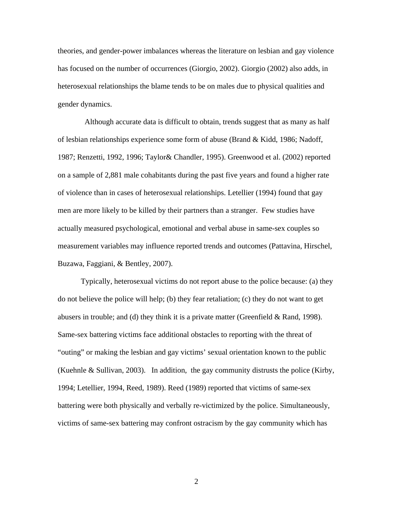theories, and gender-power imbalances whereas the literature on lesbian and gay violence has focused on the number of occurrences (Giorgio, 2002). Giorgio (2002) also adds, in heterosexual relationships the blame tends to be on males due to physical qualities and gender dynamics.

 Although accurate data is difficult to obtain, trends suggest that as many as half of lesbian relationships experience some form of abuse (Brand & Kidd, 1986; Nadoff, 1987; Renzetti, 1992, 1996; Taylor& Chandler, 1995). Greenwood et al. (2002) reported on a sample of 2,881 male cohabitants during the past five years and found a higher rate of violence than in cases of heterosexual relationships. Letellier (1994) found that gay men are more likely to be killed by their partners than a stranger. Few studies have actually measured psychological, emotional and verbal abuse in same-sex couples so measurement variables may influence reported trends and outcomes (Pattavina, Hirschel, Buzawa, Faggiani, & Bentley, 2007).

 Typically, heterosexual victims do not report abuse to the police because: (a) they do not believe the police will help; (b) they fear retaliation; (c) they do not want to get abusers in trouble; and (d) they think it is a private matter (Greenfield & Rand, 1998). Same-sex battering victims face additional obstacles to reporting with the threat of "outing" or making the lesbian and gay victims' sexual orientation known to the public (Kuehnle & Sullivan, 2003). In addition, the gay community distrusts the police (Kirby, 1994; Letellier, 1994, Reed, 1989). Reed (1989) reported that victims of same-sex battering were both physically and verbally re-victimized by the police. Simultaneously, victims of same-sex battering may confront ostracism by the gay community which has

2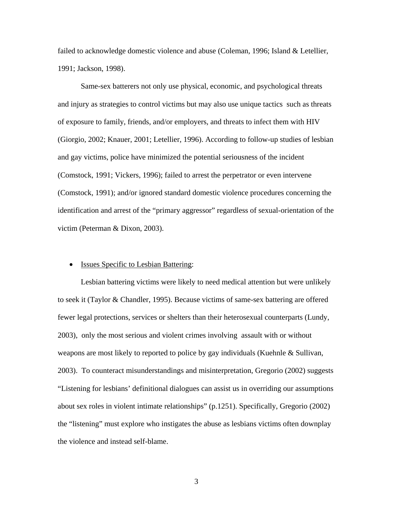failed to acknowledge domestic violence and abuse (Coleman, 1996; Island & Letellier, 1991; Jackson, 1998).

Same-sex batterers not only use physical, economic, and psychological threats and injury as strategies to control victims but may also use unique tactics such as threats of exposure to family, friends, and/or employers, and threats to infect them with HIV (Giorgio, 2002; Knauer, 2001; Letellier, 1996). According to follow-up studies of lesbian and gay victims, police have minimized the potential seriousness of the incident (Comstock, 1991; Vickers, 1996); failed to arrest the perpetrator or even intervene (Comstock, 1991); and/or ignored standard domestic violence procedures concerning the identification and arrest of the "primary aggressor" regardless of sexual-orientation of the victim (Peterman & Dixon, 2003).

#### • Issues Specific to Lesbian Battering:

Lesbian battering victims were likely to need medical attention but were unlikely to seek it (Taylor & Chandler, 1995). Because victims of same-sex battering are offered fewer legal protections, services or shelters than their heterosexual counterparts (Lundy, 2003), only the most serious and violent crimes involving assault with or without weapons are most likely to reported to police by gay individuals (Kuehnle & Sullivan, 2003). To counteract misunderstandings and misinterpretation, Gregorio (2002) suggests "Listening for lesbians' definitional dialogues can assist us in overriding our assumptions about sex roles in violent intimate relationships" (p.1251). Specifically, Gregorio (2002) the "listening" must explore who instigates the abuse as lesbians victims often downplay the violence and instead self-blame.

3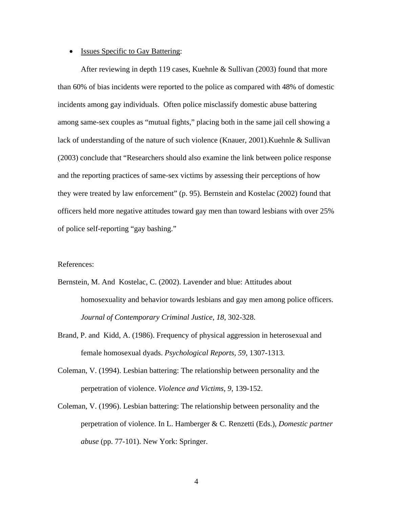#### • Issues Specific to Gay Battering:

After reviewing in depth 119 cases, Kuehnle & Sullivan (2003) found that more than 60% of bias incidents were reported to the police as compared with 48% of domestic incidents among gay individuals. Often police misclassify domestic abuse battering among same-sex couples as "mutual fights," placing both in the same jail cell showing a lack of understanding of the nature of such violence (Knauer, 2001).Kuehnle & Sullivan (2003) conclude that "Researchers should also examine the link between police response and the reporting practices of same-sex victims by assessing their perceptions of how they were treated by law enforcement" (p. 95). Bernstein and Kostelac (2002) found that officers held more negative attitudes toward gay men than toward lesbians with over 25% of police self-reporting "gay bashing."

#### References:

- Bernstein, M. And Kostelac, C. (2002). Lavender and blue: Attitudes about homosexuality and behavior towards lesbians and gay men among police officers. *Journal of Contemporary Criminal Justice*, *18*, 302-328.
- Brand, P. and Kidd, A. (1986). Frequency of physical aggression in heterosexual and female homosexual dyads. *Psychological Reports*, *59*, 1307-1313.
- Coleman, V. (1994). Lesbian battering: The relationship between personality and the perpetration of violence. *Violence and Victims*, *9*, 139-152.
- Coleman, V. (1996). Lesbian battering: The relationship between personality and the perpetration of violence. In L. Hamberger & C. Renzetti (Eds.), *Domestic partner abuse* (pp. 77-101). New York: Springer.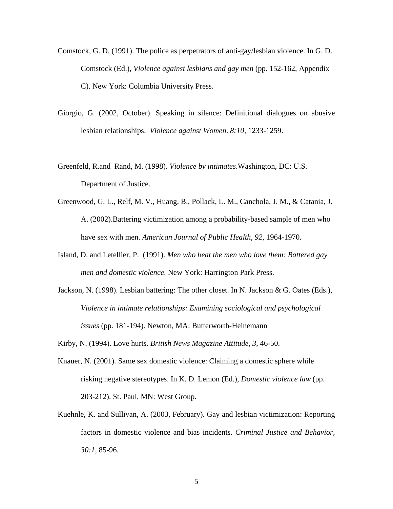- Comstock, G. D. (1991). The police as perpetrators of anti-gay/lesbian violence. In G. D. Comstock (Ed.), *Violence against lesbians and gay men* (pp. 152-162, Appendix C). New York: Columbia University Press.
- Giorgio, G. (2002, October). Speaking in silence: Definitional dialogues on abusive lesbian relationships. *Violence against Women*. *8:10*, 1233-1259.
- Greenfeld, R.and Rand, M. (1998). *Violence by intimates*.Washington, DC: U.S. Department of Justice.
- Greenwood, G. L., Relf, M. V., Huang, B., Pollack, L. M., Canchola, J. M., & Catania, J. A. (2002).Battering victimization among a probability-based sample of men who have sex with men. *American Journal of Public Health*, *92*, 1964-1970.
- Island, D. and Letellier, P. (1991). *Men who beat the men who love them: Battered gay men and domestic violence*. New York: Harrington Park Press.
- Jackson, N. (1998). Lesbian battering: The other closet. In N. Jackson & G. Oates (Eds.), *Violence in intimate relationships: Examining sociological and psychological issues* (pp. 181-194). Newton, MA: Butterworth-Heinemann.

Kirby, N. (1994). Love hurts. *British News Magazine Attitude*, *3*, 46-50.

- Knauer, N. (2001). Same sex domestic violence: Claiming a domestic sphere while risking negative stereotypes. In K. D. Lemon (Ed.), *Domestic violence law* (pp. 203-212). St. Paul, MN: West Group.
- Kuehnle, K. and Sullivan, A. (2003, February). Gay and lesbian victimization: Reporting factors in domestic violence and bias incidents. *Criminal Justice and Behavior, 30:1*, 85-96.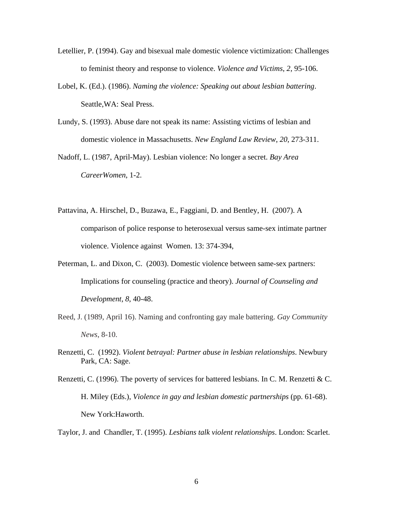- Letellier, P. (1994). Gay and bisexual male domestic violence victimization: Challenges to feminist theory and response to violence. *Violence and Victims*, *2*, 95-106.
- Lobel, K. (Ed.). (1986). *Naming the violence: Speaking out about lesbian battering*. Seattle,WA: Seal Press.
- Lundy, S. (1993). Abuse dare not speak its name: Assisting victims of lesbian and domestic violence in Massachusetts. *New England Law Review*, *20*, 273-311.
- Nadoff, L. (1987, April-May). Lesbian violence: No longer a secret. *Bay Area CareerWomen*, 1-2.
- Pattavina, A. Hirschel, D., Buzawa, E., Faggiani, D. and Bentley, H. (2007). A comparison of police response to heterosexual versus same-sex intimate partner violence. Violence against Women. 13: 374-394,
- Peterman, L. and Dixon, C. (2003). Domestic violence between same-sex partners: Implications for counseling (practice and theory). *Journal of Counseling and Development*, *8*, 40-48.
- Reed, J. (1989, April 16). Naming and confronting gay male battering. *Gay Community News*, 8-10.
- Renzetti, C. (1992). *Violent betrayal: Partner abuse in lesbian relationships*. Newbury Park, CA: Sage.
- Renzetti, C. (1996). The poverty of services for battered lesbians. In C. M. Renzetti & C. H. Miley (Eds.), *Violence in gay and lesbian domestic partnerships* (pp. 61-68). New York:Haworth.

Taylor, J. and Chandler, T. (1995). *Lesbians talk violent relationships*. London: Scarlet.